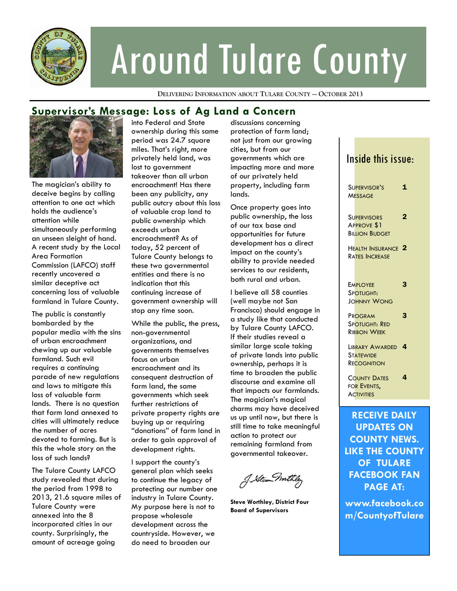

# Around Tulare County

**DELIVERING INFORMATION ABOUT TULARE COUNTY — OCTOBER 2013**

## **Supervisor's Message: Loss of Ag Land a Concern**



The magician's ability to deceive begins by calling attention to one act which holds the audience's attention while simultaneously performing an unseen sleight of hand. A recent study by the Local Area Formation Commission (LAFCO) staff recently uncovered a similar deceptive act concerning loss of valuable farmland in Tulare County.

The public is constantly bombarded by the popular media with the sins of urban encroachment chewing up our valuable farmland. Such evil requires a continuing parade of new regulations and laws to mitigate this loss of valuable farm lands. There is no question that farm land annexed to cities will ultimately reduce the number of acres devoted to farming. But is this the whole story on the loss of such lands?

The Tulare County LAFCO study revealed that during the period from 1998 to 2013, 21.6 square miles of Tulare County were annexed into the 8 incorporated cities in our county. Surprisingly, the amount of acreage going

into Federal and State ownership during this same period was 24.7 square miles. That's right, more privately held land, was lost to government takeover than all urban encroachment! Has there been any publicity, any public outcry about this loss of valuable crop land to public ownership which exceeds urban encroachment? As of today, 52 percent of Tulare County belongs to these two governmental entities and there is no indication that this continuing increase of government ownership will stop any time soon.

While the public, the press, non-governmental organizations, and governments themselves focus on urban encroachment and its consequent destruction of farm land, the same governments which seek further restrictions of private property rights are buying up or requiring "donations" of farm land in order to gain approval of development rights.

I support the county's general plan which seeks to continue the legacy of protecting our number one industry in Tulare County. My purpose here is not to propose wholesale development across the countryside. However, we do need to broaden our

discussions concerning protection of farm land; not just from our growing cities, but from our governments which are impacting more and more of our privately held property, including farm lands.

Once property goes into public ownership, the loss of our tax base and opportunities for future development has a direct impact on the county's ability to provide needed services to our residents, both rural and urban.

I believe all 58 counties (well maybe not San Francisco) should engage in a study like that conducted by Tulare County LAFCO. If their studies reveal a similar large scale taking of private lands into public ownership, perhaps it is time to broaden the public discourse and examine all that impacts our farmlands. The magician's magical charms may have deceived us up until now, but there is still time to take meaningful action to protect our remaining farmland from governmental takeover.

J. Stewn mitteles

**Steve Worthley, District Four Board of Supervisors** 

## Inside this issue: SUPERVISOR'S **MESSAGE** 1 **SUPERVISORS** APPROVE \$1 **BILLION BUDGET** 2 HEALTH INSURANCE 2 RATES INCREASE **EMPLOYEE** SPOTLIGHT: JOHNNY WONG 3 PROGRAM SPOTLIGHT: RED RIBBON WEEK 3 LIBRARY AWARDED 4 **STATEWIDE RECOGNITION** COUNTY DATES FOR EVENTS, **ACTIVITIES** 4 **RECEIVE DAILY UPDATES ON COUNTY NEWS.**

**LIKE THE COUNTY OF TULARE FACEBOOK FAN PAGE AT:** 

**www.facebook.co m/CountyofTulare**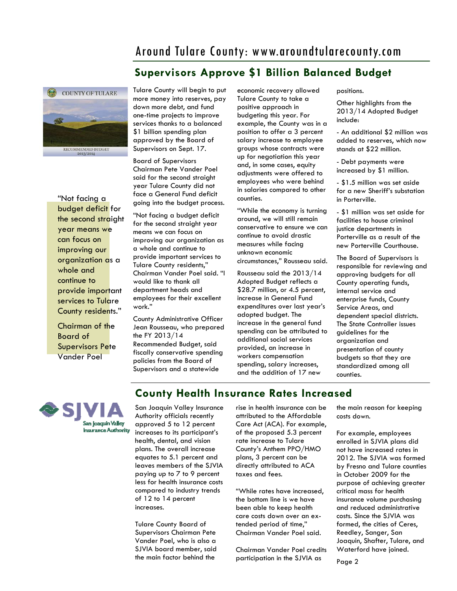## Around Tulare County: www.aroundtularecounty.com

## **Supervisors Approve \$1 Billion Balanced Budget**



"Not facing a budget deficit for the second straight year means we can focus on improving our organization as a whole and continue to provide important services to Tulare County residents."

Chairman of the Board of Supervisors Pete Vander Poel

Tulare County will begin to put more money into reserves, pay down more debt, and fund one-time projects to improve services thanks to a balanced \$1 billion spending plan approved by the Board of Supervisors on Sept. 17.

Board of Supervisors Chairman Pete Vander Poel said for the second straight year Tulare County did not face a General Fund deficit going into the budget process.

"Not facing a budget deficit for the second straight year means we can focus on improving our organization as a whole and continue to provide important services to Tulare County residents," Chairman Vander Poel said. "I would like to thank all department heads and employees for their excellent work."

County Administrative Officer Jean Rousseau, who prepared the FY 2013/14 Recommended Budget, said fiscally conservative spending policies from the Board of Supervisors and a statewide

economic recovery allowed Tulare County to take a positive approach in budgeting this year. For example, the County was in a position to offer a 3 percent salary increase to employee groups whose contracts were up for negotiation this year and, in some cases, equity adjustments were offered to employees who were behind in salaries compared to other counties.

"While the economy is turning around, we will still remain conservative to ensure we can continue to avoid drastic measures while facing unknown economic circumstances," Rousseau said.

Rousseau said the 2013/14 Adopted Budget reflects a \$28.7 million, or 4.5 percent. increase in General Fund expenditures over last year's adopted budget. The increase in the general fund spending can be attributed to additional social services provided, an increase in workers compensation spending, salary increases, and the addition of 17 new

positions.

Other highlights from the 2013/14 Adopted Budget include:

- An additional \$2 million was added to reserves, which now stands at \$22 million.

- Debt payments were increased by \$1 million.

- \$1.5 million was set aside for a new Sheriff's substation in Porterville.

- \$1 million was set aside for facilities to house criminal justice departments in Porterville as a result of the new Porterville Courthouse.

The Board of Supervisors is responsible for reviewing and approving budgets for all County operating funds, internal service and enterprise funds, County Service Areas, and dependent special districts. The State Controller issues guidelines for the organization and presentation of county budgets so that they are standardized among all counties.



**County Health Insurance Rates Increased** 

San Joaquin Valley Insurance Authority officials recently approved 5 to 12 percent increases to its participant's health, dental, and vision plans. The overall increase equates to 5.1 percent and leaves members of the SJVIA paying up to 7 to 9 percent less for health insurance costs compared to industry trends of 12 to 14 percent increases.

Tulare County Board of Supervisors Chairman Pete Vander Poel, who is also a SJVIA board member, said the main factor behind the

rise in health insurance can be attributed to the Affordable Care Act (ACA). For example, of the proposed 5.3 percent rate increase to Tulare County's Anthem PPO/HMO plans, 3 percent can be directly attributed to ACA taxes and fees.

"While rates have increased, the bottom line is we have been able to keep health care costs down over an extended period of time," Chairman Vander Poel said.

Chairman Vander Poel credits participation in the SJVIA as

the main reason for keeping costs down.

For example, employees enrolled in SJVIA plans did not have increased rates in 2012. The SJVIA was formed by Fresno and Tulare counties in October 2009 for the purpose of achieving greater critical mass for health insurance volume purchasing and reduced administrative costs. Since the SJVIA was formed, the cities of Ceres, Reedley, Sanger, San Joaquin, Shafter, Tulare, and Waterford have joined.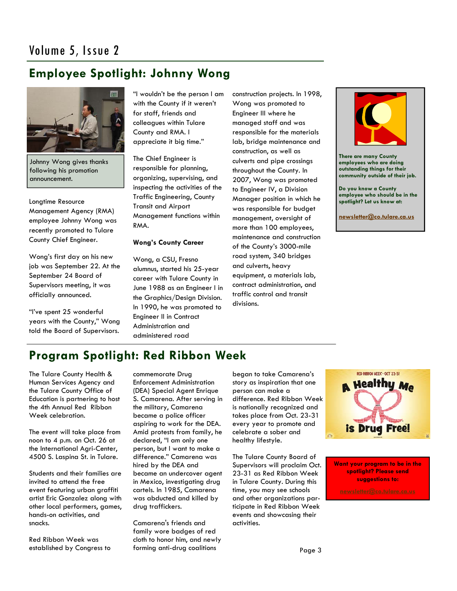## **Employee Spotlight: Johnny Wong**



Johnny Wong gives thanks following his promotion announcement.

Longtime Resource Management Agency (RMA) employee Johnny Wong was recently promoted to Tulare County Chief Engineer.

Wong's first day on his new job was September 22. At the September 24 Board of Supervisors meeting, it was officially announced.

"I've spent 25 wonderful years with the County," Wong told the Board of Supervisors.

"I wouldn't be the person I am with the County if it weren't for staff, friends and colleagues within Tulare County and RMA. I appreciate it big time."

The Chief Engineer is responsible for planning, organizing, supervising, and inspecting the activities of the Traffic Engineering, County Transit and Airport Management functions within RMA.

#### **Wong's County Career**

Wong, a CSU, Fresno alumnus, started his 25-year career with Tulare County in June 1988 as an Engineer I in the Graphics/Design Division. In 1990, he was promoted to Engineer II in Contract Administration and administered road

construction projects. In 1998, Wong was promoted to Engineer III where he managed staff and was responsible for the materials lab, bridge maintenance and construction, as well as culverts and pipe crossings throughout the County. In 2007, Wong was promoted to Engineer IV, a Division Manager position in which he was responsible for budget management, oversight of more than 100 employees, maintenance and construction of the County's 3000-mile road system, 340 bridges and culverts, heavy equipment, a materials lab, contract administration, and traffic control and transit divisions.



**There are many County employees who are doing outstanding things for their community outside of their job.** 

**Do you know a County employee who should be in the spotlight? Let us know at:** 

**[newsletter@co.tulare.ca.us](mailto:newsletter@co.tulare.ca.us?subject=Employee%20spotlight)**

## **Program Spotlight: Red Ribbon Week**

The Tulare County Health & Human Services Agency and the Tulare County Office of Education is partnering to host the 4th Annual Red Ribbon Week celebration.

The event will take place from noon to 4 p.m. on Oct. 26 at the International Agri-Center, 4500 S. Laspina St. in Tulare.

Students and their families are invited to attend the free event featuring urban graffiti artist Eric Gonzalez along with other local performers, games, hands-on activities, and snacks.

Red Ribbon Week was established by Congress to commemorate Drug Enforcement Administration (DEA) Special Agent Enrique S. Camarena. After serving in the military, Camarena became a police officer aspiring to work for the DEA. Amid protests from family, he declared, "I am only one person, but I want to make a difference." Camarena was hired by the DEA and became an undercover agent in Mexico, investigating drug cartels. In 1985, Camarena was abducted and killed by drug traffickers.

Camarena's friends and family wore badges of red cloth to honor him, and newly forming anti-drug coalitions

began to take Camarena's story as inspiration that one person can make a difference. Red Ribbon Week is nationally recognized and takes place from Oct. 23-31 every year to promote and celebrate a sober and healthy lifestyle.

The Tulare County Board of Supervisors will proclaim Oct. 23-31 as Red Ribbon Week in Tulare County. During this time, you may see schools and other organizations participate in Red Ribbon Week events and showcasing their activities.



**Want your program to be in the spotlight? Please send suggestions to:**